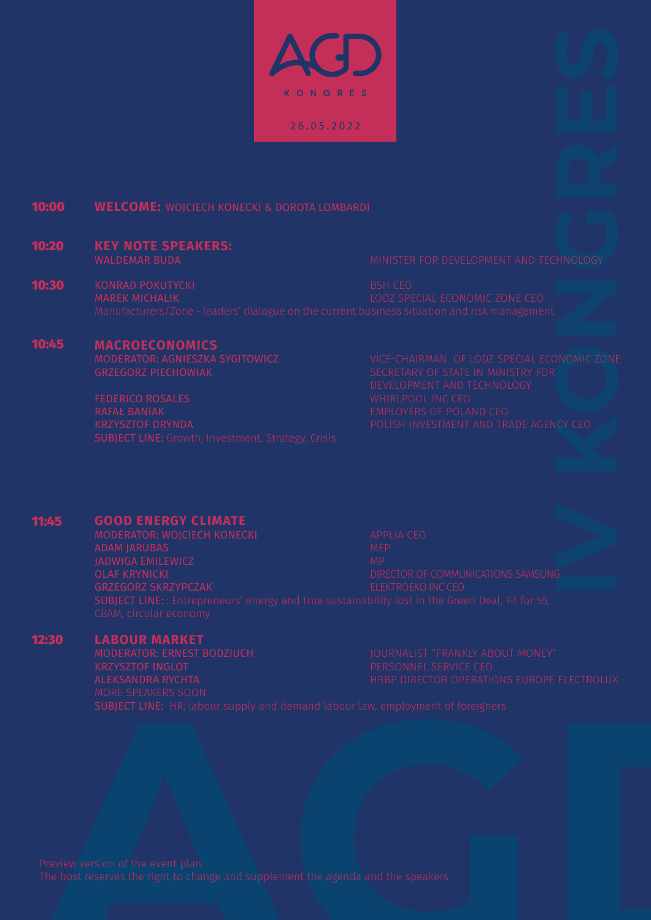KONGRES 26.05.2022

#### 10:00 **WELCOME:** WOJCIECH KONECKI & DOROTA LOMBARDI

## 10:20 **KEY NOTE SPEAKERS:**

10:30 KONRAD POKUTYCKI BSH CEO<br>MAREK MICHALIK BSH CEO BOOT SPEAK BSH CEO

#### 10:45 **MACROECONOMICS**

MODERATOR: AGNIESZKA SYGITOWICZ VICE-CHAIRMAN OF LODZ SPECIAL ECONOMIC ZONE

#### 11:45 **GOOD ENERGY CLIMATE**

# 12:30

**LABOUR MARKET**<br>**MODERATOR: ERNEST BODZIUCH**